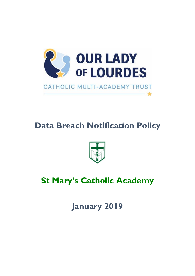

# **Data Breach Notification Policy**



# **St Mary's Catholic Academy**

**January 2019**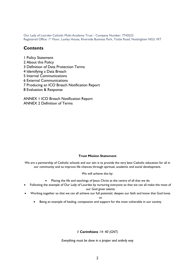Our Lady of Lourdes Catholic Multi-Academy Trust - Company Number: 7743523 Registered Office: 1<sup>st</sup> Floor, Loxley House, Riverside Business Park, Tottle Road, Nottingham NG2 IRT

## **Contents**

1 Policy Statement 2 About this Policy 3 Definition of Data Protection Terms 4 Identifying a Data Breach 5 Internal Communications 6 External Communications 7 Producing an ICO Breach Notification Report 8 Evaluation & Response

ANNEX 1 ICO Breach Notification Report ANNEX 2 Definition of Terms

#### **Trust Mission Statement**

We are a partnership of Catholic schools and our aim is to provide the very best Catholic education for all in our community and so improve life chances through spiritual, academic and social development.

We will achieve this by:

- Placing the life and teachings of Jesus Christ at the centre of all that we do
- Following the example of Our Lady of Lourdes by nurturing everyone so that we can all make the most of our God given talents
- Working together so that we can all achieve our full potential, deepen our faith and know that God loves us
	- Being an example of healing, compassion and support for the most vulnerable in our society

#### *1 Corinthians 14: 40 (GNT)*

*Everything must be done in a proper and orderly way*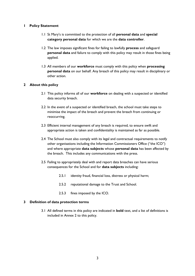#### **1 Policy Statement**

- 1.1 St Mary's is committed to the protection of all **personal data** and **special category personal data** for which we are the **data controller**.
- 1.2 The law imposes significant fines for failing to lawfully **process** and safeguard **personal data** and failure to comply with this policy may result in those fines being applied.
- 1.3 All members of our **workforce** must comply with this policy when **processing personal data** on our behalf. Any breach of this policy may result in disciplinary or other action.

#### **2 About this policy**

- 2.1 This policy informs all of our **workforce** on dealing with a suspected or identified data security breach.
- 2.2 In the event of a suspected or identified breach, the school must take steps to minimise the impact of the breach and prevent the breach from continuing or reoccurring.
- 2.3 Efficient internal management of any breach is required, to ensure swift and appropriate action is taken and confidentiality is maintained as far as possible.
- 2.4 The School must also comply with its legal and contractual requirements to notify other organisations including the Information Commissioners Office ("the ICO") and where appropriate **data subjects** whose **personal data** has been affected by the breach. This includes any communications with the press.
- 2.5 Failing to appropriately deal with and report data breaches can have serious consequences for the School and for **data subjects** including:
	- 2.5.1 identity fraud, financial loss, distress or physical harm;
	- 2.5.2 reputational damage to the Trust and School.
	- 2.5.3 fines imposed by the ICO.

#### **3 Definition of data protection terms**

3.1 All defined terms in this policy are indicated in **bold** text, and a list of definitions is included in Annex 2 to this policy.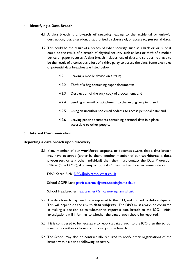#### **4 Identifying a Data Breach**

- 4.1 A data breach is a **breach of security** leading to the accidental or unlawful destruction, loss, alteration, unauthorised disclosure of, or access to, **personal data**.
- 4.2 This could be the result of a breach of cyber security, such as a hack or virus, or it could be the result of a breach of physical security such as loss or theft of a mobile device or paper records. A data breach includes loss of data and so does not have to be the result of a conscious effort of a third party to access the data. Some examples of potential data breaches are listed below:
	- 4.2.1 Leaving a mobile device on a train;
	- 4.2.2 Theft of a bag containing paper documents;
	- 4.2.3 Destruction of the only copy of a document; and
	- 4.2.4 Sending an email or attachment to the wrong recipient; and
	- 4.2.5 Using an unauthorised email address to access personal data; and
	- 4.2.6 Leaving paper documents containing personal data in a place accessible to other people.

#### **5 Internal Communication**

#### **Reporting a data breach upon discovery**

5.1 If any member of our **workforce** suspects, or becomes aware, that a data breach may have occurred (either by them, another member of our **workforce**, a **data processor**, or any other individual) then they must contact the Data Protection Officer ("the DPO"), Academy/School GDPR Lead & Headteacher immediately at:

DPO Karen Rich [DPO@ololcatholicmat.co.uk](mailto:DPO@ololcatholicmat.co.uk)

School GDPR Lead [patricia.carnell@smca.nottingham.sch.uk](mailto:patricia.carnell@smca.nottingham.sch.uk)

School Headteacher [headteacher@smca.nottingham.sch.uk](mailto:headteacher@smca.nottingham.sch.uk)

- 5.2 The data breach may need to be reported to the ICO, and notified to **data subjects**. This will depend on the risk to **data subjects**. The DPO must always be consulted in making a decision as to whether to report a data breach to the ICO. Initial investigations will inform as to whether the data breach should be reported.
- 5.3 If it is considered to be necessary to report a data breach to the ICO then the School must do so within 72 hours of discovery of the breach.
- 5.4 The School may also be contractually required to notify other organisations of the breach within a period following discovery.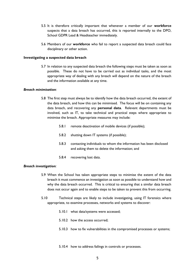- 5.5 It is therefore critically important that whenever a member of our **workforce** suspects that a data breach has occurred, this is reported internally to the DPO, School GDPR Lead & Headteacher immediately.
- 5.6 Members of our **workforce** who fail to report a suspected data breach could face disciplinary or other action.

#### **Investigating a suspected data breach**

5.7 In relation to any suspected data breach the following steps must be taken as soon as possible. These do not have to be carried out as individual tasks, and the most appropriate way of dealing with any breach will depend on the nature of the breach and the information available at any time.

#### *Breach minimisation:*

- 5.8 The first step must always be to identify how the data breach occurred, the extent of the data breach, and how this can be minimised. The focus will be on containing any data breach, and recovering any **personal data**. Relevant departments must be involved, such as IT, to take technical and practical steps where appropriate to minimise the breach. Appropriate measures may include:
	- 5.8.1 remote deactivation of mobile devices (if possible);
	- 5.8.2 shutting down IT systems (if possible);
	- 5.8.3 contacting individuals to whom the information has been disclosed and asking them to delete the information; and
	- 5.8.4 recovering lost data.

#### *Breach investigation:*

- 5.9 When the School has taken appropriate steps to minimise the extent of the data breach it must commence an investigation as soon as possible to understand how and why the data breach occurred. This is critical to ensuring that a similar data breach does not occur again and to enable steps to be taken to prevent this from occurring.
- 5.10 Technical steps are likely to include investigating, using IT forensics where appropriate, to examine processes, networks and systems to discover:
	- 5.10.1 what data/systems were accessed;
	- 5.10.2 how the access occurred;
	- 5.10.3 how to fix vulnerabilities in the compromised processes or systems;
	- 5.10.4 how to address failings in controls or processes.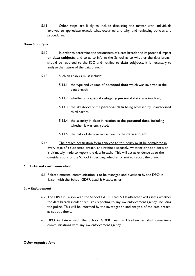5.11 Other steps are likely to include discussing the matter with individuals involved to appreciate exactly what occurred and why, and reviewing policies and procedures.

#### *Breach analysis:*

- 5.12 In order to determine the seriousness of a data breach and its potential impact on **data subjects**, and so as to inform the School as to whether the data breach should be reported to the ICO and notified to **data subjects**, it is necessary to analyse the nature of the data breach.
- 5.13 Such an analysis must include:
	- 5.13.1 the type and volume of **personal data** which was involved in the data breach;
	- 5.13.2 whether any **special category personal data** was involved;
	- 5.13.3 the likelihood of the **personal data** being accessed by unauthorised third parties;
	- 5.13.4 the security in place in relation to the **personal data**, including whether it was encrypted;
	- 5.13.5 the risks of damage or distress to the **data subject**.
- 5.14 The breach notification form annexed to this policy must be completed in every case of a suspected breach, and retained securely, whether or not a decision is ultimately made to report the data breach. This will act as evidence as to the considerations of the School in deciding whether or not to report the breach.

#### **6 External communication**

6.1 Related external communication is to be managed and overseen by the DPO in liaison with the School GDPR Lead & Headteacher.

#### *Law Enforcement*

- 6.2 The DPO in liaison with the School GDPR Lead & Headteacher will assess whether the data breach incident requires reporting to any law enforcement agency, including the police. This will be informed by the investigation and analysis of the data breach, as set out above.
- 6.3 DPO in liaison with the School GDPR Lead & Headteacher shall coordinate communications with any law enforcement agency.

#### *Other organisations*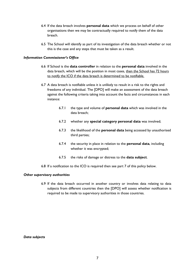- 6.4 If the data breach involves **personal data** which we process on behalf of other organisations then we may be contractually required to notify them of the data breach.
- 6.5 The School will identify as part of its investigation of the data breach whether or not this is the case and any steps that must be taken as a result.

#### *Information Commissioner's Office*

- 6.6 If School is the **data controller** in relation to the **personal data** involved in the data breach, which will be the position in most cases, then the School has 72 hours to notify the ICO if the data breach is determined to be notifiable.
- 6.7 A data breach is notifiable unless it is unlikely to result in a risk to the rights and freedoms of any individual. The [DPO] will make an assessment of the data breach against the following criteria taking into account the facts and circumstances in each instance:
	- 6.7.1 the type and volume of **personal data** which was involved in the data breach;
	- 6.7.2 whether any **special category personal data** was involved;
	- 6.7.3 the likelihood of the **personal data** being accessed by unauthorised third parties;
	- 6.7.4 the security in place in relation to the **personal data**, including whether it was encrypted;
	- 6.7.5 the risks of damage or distress to the **data subject**.
- 6.8 If a notification to the ICO is required then see part 7 of this policy below.

#### *Other supervisory authorities*

6.9 If the data breach occurred in another country or involves data relating to data subjects from different countries then the [DPO] will assess whether notification is required to be made to supervisory authorities in those countries.

*Data subjects*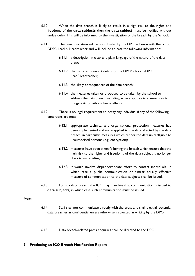- 6.10 When the data breach is likely to result in a high risk to the rights and freedoms of the **data subjects** then the **data subject** must be notified without undue delay. This will be informed by the investigation of the breach by the School.
- 6.11 The communication will be coordinated by the DPO in liaison with the School GDPR Lead & Headteacher and will include at least the following information:
	- 6.11.1 a description in clear and plain language of the nature of the data breach;
	- 6.11.2 the name and contact details of the DPO/School GDPR Lead/Headteacher;
	- 6.11.3 the likely consequences of the data breach;
	- 6.11.4 the measures taken or proposed to be taken by the school to address the data breach including, where appropriate, measures to mitigate its possible adverse effects.
- 6.12 There is no legal requirement to notify any individual if any of the following conditions are met:
	- 6.12.1 appropriate technical and organisational protection measures had been implemented and were applied to the data affected by the data breach, in particular, measures which render the data unintelligible to unauthorised persons (e.g. encryption);
	- 6.12.2 measures have been taken following the breach which ensure that the high risk to the rights and freedoms of the data subject is no longer likely to materialise;
	- 6.12.3 it would involve disproportionate effort to contact individuals. In which case a public communication or similar equally effective measure of communication to the data subjects shall be issued.
- 6.13 For any data breach, the ICO may mandate that communication is issued to **data subjects**, in which case such communication must be issued.

#### *Press*

- 6.14 Staff shall not communicate directly with the press and shall treat all potential data breaches as confidential unless otherwise instructed in writing by the DPO.
- 6.15 Data breach-related press enquiries shall be directed to the DPO.

#### **7 Producing an ICO Breach Notification Report**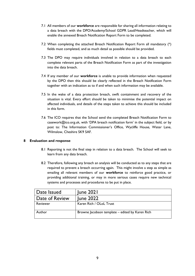- 7.1 All members of our **workforce** are responsible for sharing all information relating to a data breach with the DPO/Academy/School GDPR Lead/Headteacher, which will enable the annexed Breach Notification Report Form to be completed.
- 7.2 When completing the attached Breach Notification Report Form all mandatory (\*) fields must completed, and as much detail as possible should be provided.
- 7.3 The DPO may require individuals involved in relation to a data breach to each complete relevant parts of the Breach Notification Form as part of the investigation into the data breach.
- 7.4 If any member of our **workforce** is unable to provide information when requested by the DPO then this should be clearly reflected in the Breach Notification Form together with an indication as to if and when such information may be available.
- 7.5 In the wake of a data protection breach, swift containment and recovery of the situation is vital. Every effort should be taken to minimise the potential impact on affected individuals, and details of the steps taken to achieve this should be included in this form.
- 7.6 The ICO requires that the School send the completed Breach Notification Form to casework@ico.org.uk, with 'DPA breach notification form' in the subject field, or by post to: The Information Commissioner's Office, Wycliffe House, Water Lane, Wilmslow, Cheshire SK9 5AF.

#### **8 Evaluation and response**

- 8.1 Reporting is not the final step in relation to a data breach. The School will seek to learn from any data breach.
- 8.2 Therefore, following any breach an analysis will be conducted as to any steps that are required to prevent a breach occurring again. This might involve a step as simple as emailing all relevant members of our **workforce** to reinforce good practice, or providing additional training, or may in more serious cases require new technical systems and processes and procedures to be put in place.

| Date Issued    | June 2021                                       |
|----------------|-------------------------------------------------|
| Date of Review | <b>June 2022</b>                                |
| Reviewer       | Karen Rich / OLoL Trust                         |
| Author         | Browne Jacobson template – edited by Karen Rich |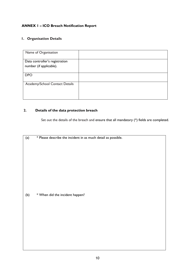## **ANNEX 1 – ICO Breach Notification Report**

## **1. Organisation Details**

| Name of Organisation                                      |  |
|-----------------------------------------------------------|--|
| Data controller's registration<br>number (if applicable). |  |
| <b>DPO</b>                                                |  |
| Academy/School Contact Details                            |  |

### **2. Details of the data protection breach**

Set out the details of the breach and ensure that all mandatory  $(*)$  fields are completed.

| * When did the incident happen?<br>(b) | (a) | * Please describe the incident in as much detail as possible. |
|----------------------------------------|-----|---------------------------------------------------------------|
|                                        |     |                                                               |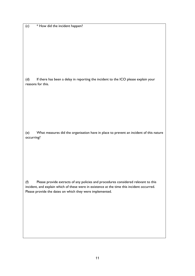(c) \* How did the incident happen?

(d) If there has been a delay in reporting the incident to the ICO please explain your reasons for this.

(e) What measures did the organisation have in place to prevent an incident of this nature occurring?

(f) Please provide extracts of any policies and procedures considered relevant to this incident, and explain which of these were in existence at the time this incident occurred. Please provide the dates on which they were implemented.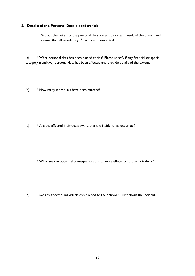#### **3. Details of the Personal Data placed at risk**

Set out the details of the personal data placed at risk as a result of the breach and ensure that all mandatory (\*) fields are completed.

(a) \* What personal data has been placed at risk? Please specify if any financial or special category (sensitive) personal data has been affected and provide details of the extent.

(b) \* How many individuals have been affected?

(c) \* Are the affected individuals aware that the incident has occurred?

(d) \* What are the potential consequences and adverse effects on those individuals?

(e) Have any affected individuals complained to the School / Trust about the incident?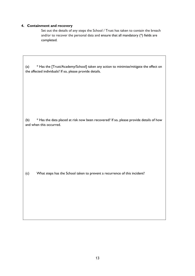### **4. Containment and recovery**

Set out the details of any steps the School / Trust has taken to contain the breach and/or to recover the personal data and ensure that all mandatory (\*) fields are completed.

| * Has the [Trust/Academy/School] taken any action to minimise/mitigate the effect on<br>(a)<br>the affected individuals? If so, please provide details. |
|---------------------------------------------------------------------------------------------------------------------------------------------------------|
|                                                                                                                                                         |
|                                                                                                                                                         |
| * Has the data placed at risk now been recovered? If so, please provide details of how<br>(b)<br>and when this occurred.                                |
|                                                                                                                                                         |
|                                                                                                                                                         |
| What steps has the School taken to prevent a recurrence of this incident?<br>(c)                                                                        |
|                                                                                                                                                         |
|                                                                                                                                                         |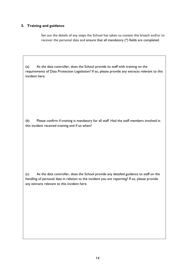#### **5. Training and guidance**

Set out the details of any steps the School has taken to contain the breach and/or to recover the personal data and ensure that all mandatory (\*) fields are completed.

(a) As the data controller, does the School provide its staff with training on the requirements of Data Protection Legislation? If so, please provide any extracts relevant to this incident here.

(b) Please confirm if training is mandatory for all staff. Had the staff members involved in this incident received training and if so when?

(c) As the data controller, does the School provide any detailed guidance to staff on the handling of personal data in relation to the incident you are reporting? If so, please provide any extracts relevant to this incident here.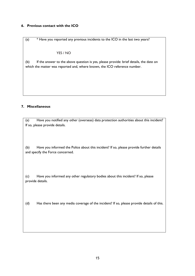#### **6. Previous contact with the ICO**

(a) \* Have you reported any previous incidents to the ICO in the last two years?

#### YES / NO

(b) If the answer to the above question is yes, please provide: brief details, the date on which the matter was reported and, where known, the ICO reference number.

#### **7. Miscellaneous**

(a) Have you notified any other (overseas) data protection authorities about this incident? If so, please provide details.

(b) Have you informed the Police about this incident? If so, please provide further details and specify the Force concerned.

(c) Have you informed any other regulatory bodies about this incident? If so, please provide details.

(d) Has there been any media coverage of the incident? If so, please provide details of this.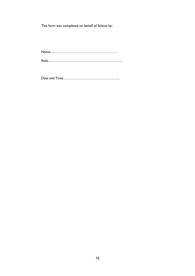This form was completed on behalf of School by:

Name:………………………………………………. Role:……………………………………………………..

Date and Time:………………………………………..